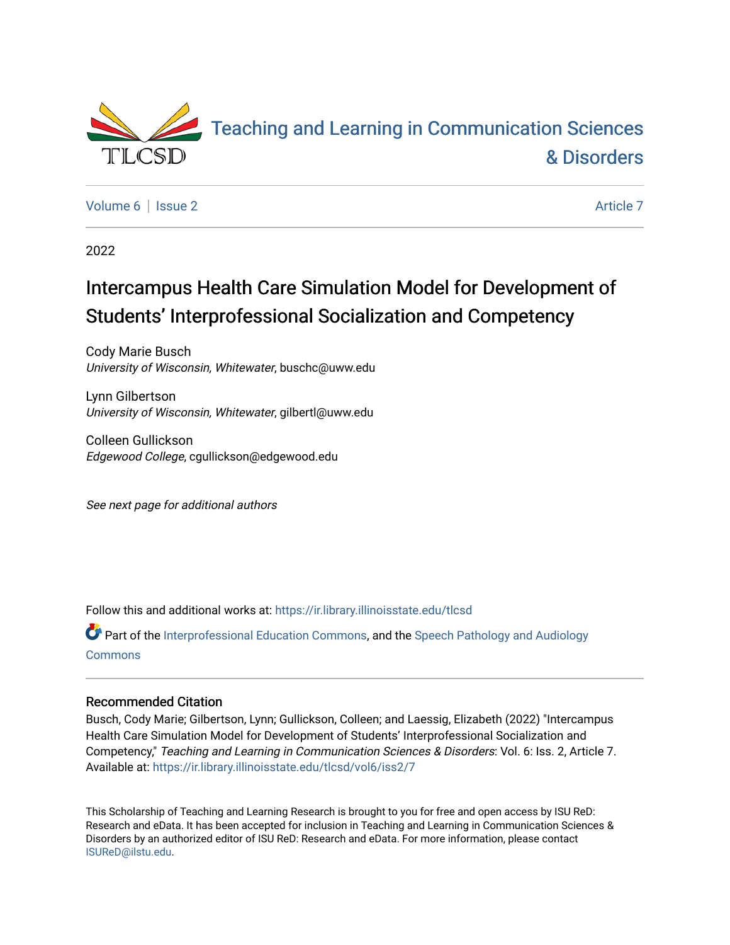

[Volume 6](https://ir.library.illinoisstate.edu/tlcsd/vol6) | [Issue 2](https://ir.library.illinoisstate.edu/tlcsd/vol6/iss2) Article 7

2022

# Intercampus Health Care Simulation Model for Development of Students' Interprofessional Socialization and Competency

Cody Marie Busch University of Wisconsin, Whitewater, buschc@uww.edu

Lynn Gilbertson University of Wisconsin, Whitewater, gilbertl@uww.edu

Colleen Gullickson Edgewood College, cgullickson@edgewood.edu

See next page for additional authors

Follow this and additional works at: [https://ir.library.illinoisstate.edu/tlcsd](https://ir.library.illinoisstate.edu/tlcsd?utm_source=ir.library.illinoisstate.edu%2Ftlcsd%2Fvol6%2Fiss2%2F7&utm_medium=PDF&utm_campaign=PDFCoverPages)

Part of the [Interprofessional Education Commons,](https://network.bepress.com/hgg/discipline/1372?utm_source=ir.library.illinoisstate.edu%2Ftlcsd%2Fvol6%2Fiss2%2F7&utm_medium=PDF&utm_campaign=PDFCoverPages) and the [Speech Pathology and Audiology](https://network.bepress.com/hgg/discipline/1035?utm_source=ir.library.illinoisstate.edu%2Ftlcsd%2Fvol6%2Fiss2%2F7&utm_medium=PDF&utm_campaign=PDFCoverPages)  **[Commons](https://network.bepress.com/hgg/discipline/1035?utm_source=ir.library.illinoisstate.edu%2Ftlcsd%2Fvol6%2Fiss2%2F7&utm_medium=PDF&utm_campaign=PDFCoverPages)** 

#### Recommended Citation

Busch, Cody Marie; Gilbertson, Lynn; Gullickson, Colleen; and Laessig, Elizabeth (2022) "Intercampus Health Care Simulation Model for Development of Students' Interprofessional Socialization and Competency," Teaching and Learning in Communication Sciences & Disorders: Vol. 6: Iss. 2, Article 7. Available at: [https://ir.library.illinoisstate.edu/tlcsd/vol6/iss2/7](https://ir.library.illinoisstate.edu/tlcsd/vol6/iss2/7?utm_source=ir.library.illinoisstate.edu%2Ftlcsd%2Fvol6%2Fiss2%2F7&utm_medium=PDF&utm_campaign=PDFCoverPages) 

This Scholarship of Teaching and Learning Research is brought to you for free and open access by ISU ReD: Research and eData. It has been accepted for inclusion in Teaching and Learning in Communication Sciences & Disorders by an authorized editor of ISU ReD: Research and eData. For more information, please contact [ISUReD@ilstu.edu](mailto:ISUReD@ilstu.edu).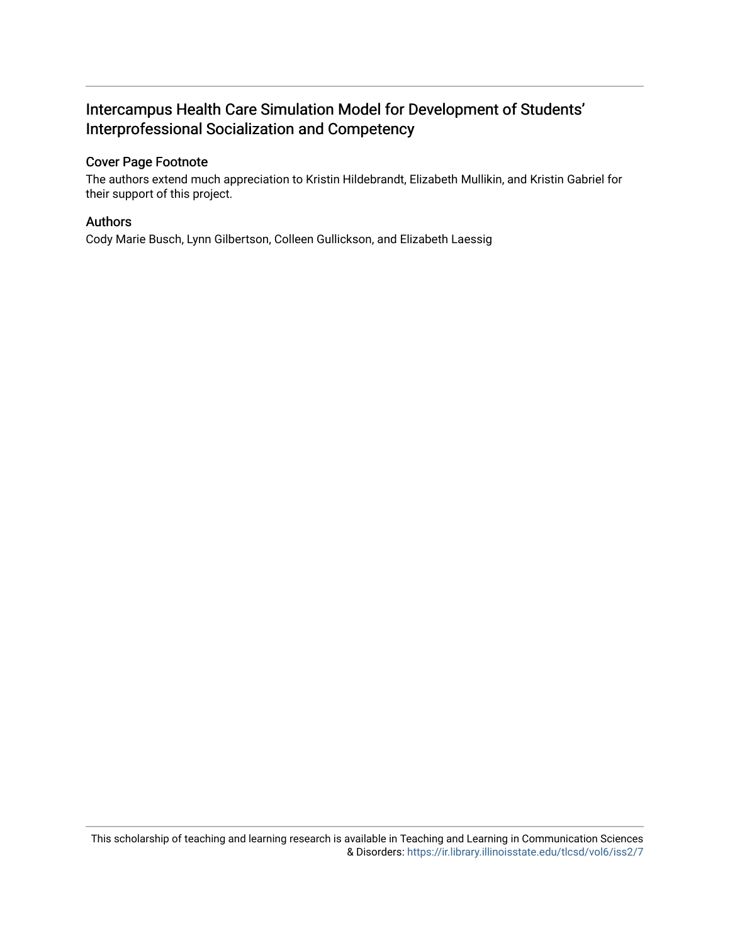## Intercampus Health Care Simulation Model for Development of Students' Interprofessional Socialization and Competency

#### Cover Page Footnote

The authors extend much appreciation to Kristin Hildebrandt, Elizabeth Mullikin, and Kristin Gabriel for their support of this project.

#### Authors

Cody Marie Busch, Lynn Gilbertson, Colleen Gullickson, and Elizabeth Laessig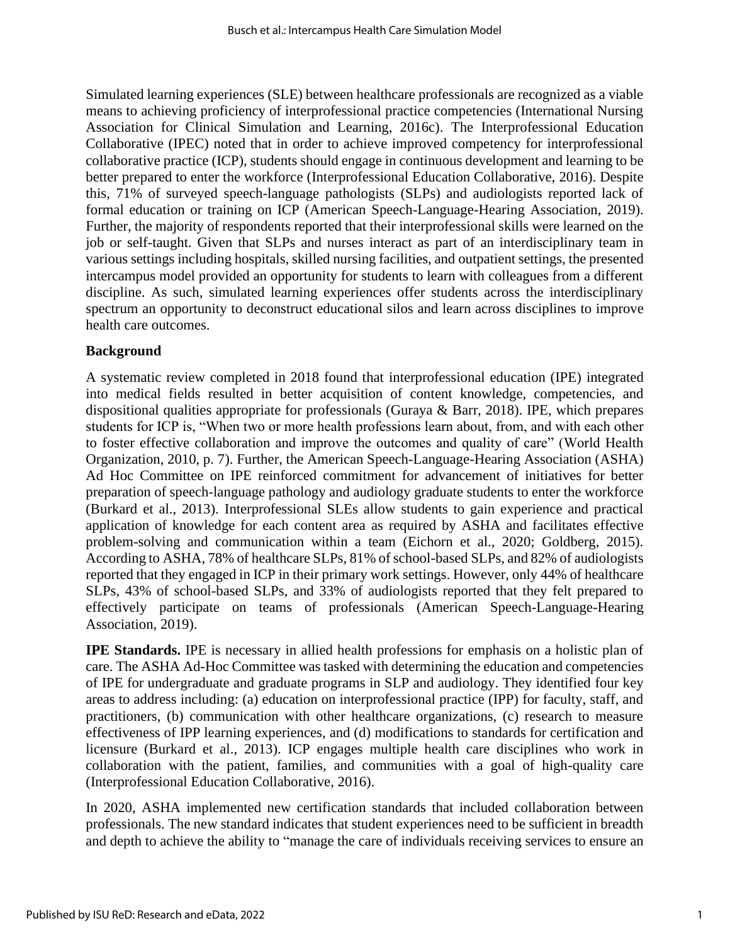Simulated learning experiences (SLE) between healthcare professionals are recognized as a viable means to achieving proficiency of interprofessional practice competencies (International Nursing Association for Clinical Simulation and Learning, 2016c). The Interprofessional Education Collaborative (IPEC) noted that in order to achieve improved competency for interprofessional collaborative practice (ICP), students should engage in continuous development and learning to be better prepared to enter the workforce (Interprofessional Education Collaborative, 2016). Despite this, 71% of surveyed speech-language pathologists (SLPs) and audiologists reported lack of formal education or training on ICP (American Speech-Language-Hearing Association, 2019). Further, the majority of respondents reported that their interprofessional skills were learned on the job or self-taught. Given that SLPs and nurses interact as part of an interdisciplinary team in various settings including hospitals, skilled nursing facilities, and outpatient settings, the presented intercampus model provided an opportunity for students to learn with colleagues from a different discipline. As such, simulated learning experiences offer students across the interdisciplinary spectrum an opportunity to deconstruct educational silos and learn across disciplines to improve health care outcomes.

#### **Background**

A systematic review completed in 2018 found that interprofessional education (IPE) integrated into medical fields resulted in better acquisition of content knowledge, competencies, and dispositional qualities appropriate for professionals (Guraya & Barr, 2018). IPE, which prepares students for ICP is, "When two or more health professions learn about, from, and with each other to foster effective collaboration and improve the outcomes and quality of care" (World Health Organization, 2010, p. 7). Further, the American Speech-Language-Hearing Association (ASHA) Ad Hoc Committee on IPE reinforced commitment for advancement of initiatives for better preparation of speech-language pathology and audiology graduate students to enter the workforce (Burkard et al., 2013). Interprofessional SLEs allow students to gain experience and practical application of knowledge for each content area as required by ASHA and facilitates effective problem-solving and communication within a team (Eichorn et al., 2020; Goldberg, 2015). According to ASHA, 78% of healthcare SLPs, 81% of school-based SLPs, and 82% of audiologists reported that they engaged in ICP in their primary work settings. However, only 44% of healthcare SLPs, 43% of school-based SLPs, and 33% of audiologists reported that they felt prepared to effectively participate on teams of professionals (American Speech-Language-Hearing Association, 2019).

**IPE Standards.** IPE is necessary in allied health professions for emphasis on a holistic plan of care. The ASHA Ad-Hoc Committee was tasked with determining the education and competencies of IPE for undergraduate and graduate programs in SLP and audiology. They identified four key areas to address including: (a) education on interprofessional practice (IPP) for faculty, staff, and practitioners, (b) communication with other healthcare organizations, (c) research to measure effectiveness of IPP learning experiences, and (d) modifications to standards for certification and licensure (Burkard et al., 2013). ICP engages multiple health care disciplines who work in collaboration with the patient, families, and communities with a goal of high-quality care (Interprofessional Education Collaborative, 2016).

In 2020, ASHA implemented new certification standards that included collaboration between professionals. The new standard indicates that student experiences need to be sufficient in breadth and depth to achieve the ability to "manage the care of individuals receiving services to ensure an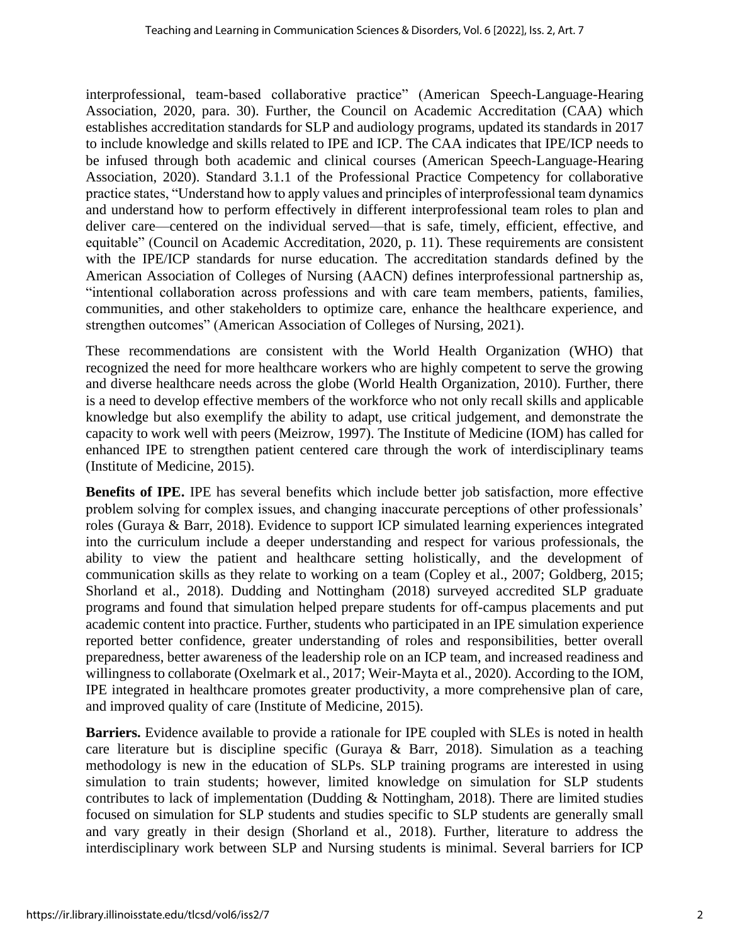interprofessional, team-based collaborative practice" (American Speech-Language-Hearing Association, 2020, para. 30). Further, the Council on Academic Accreditation (CAA) which establishes accreditation standards for SLP and audiology programs, updated its standards in 2017 to include knowledge and skills related to IPE and ICP. The CAA indicates that IPE/ICP needs to be infused through both academic and clinical courses (American Speech-Language-Hearing Association, 2020). Standard 3.1.1 of the Professional Practice Competency for collaborative practice states, "Understand how to apply values and principles of interprofessional team dynamics and understand how to perform effectively in different interprofessional team roles to plan and deliver care—centered on the individual served—that is safe, timely, efficient, effective, and equitable" (Council on Academic Accreditation, 2020, p. 11). These requirements are consistent with the IPE/ICP standards for nurse education. The accreditation standards defined by the American Association of Colleges of Nursing (AACN) defines interprofessional partnership as, "intentional collaboration across professions and with care team members, patients, families, communities, and other stakeholders to optimize care, enhance the healthcare experience, and strengthen outcomes" (American Association of Colleges of Nursing, 2021).

These recommendations are consistent with the World Health Organization (WHO) that recognized the need for more healthcare workers who are highly competent to serve the growing and diverse healthcare needs across the globe (World Health Organization, 2010). Further, there is a need to develop effective members of the workforce who not only recall skills and applicable knowledge but also exemplify the ability to adapt, use critical judgement, and demonstrate the capacity to work well with peers (Meizrow, 1997). The Institute of Medicine (IOM) has called for enhanced IPE to strengthen patient centered care through the work of interdisciplinary teams (Institute of Medicine, 2015).

**Benefits of IPE.** IPE has several benefits which include better job satisfaction, more effective problem solving for complex issues, and changing inaccurate perceptions of other professionals' roles (Guraya & Barr, 2018). Evidence to support ICP simulated learning experiences integrated into the curriculum include a deeper understanding and respect for various professionals, the ability to view the patient and healthcare setting holistically, and the development of communication skills as they relate to working on a team (Copley et al., 2007; Goldberg, 2015; Shorland et al., 2018). Dudding and Nottingham (2018) surveyed accredited SLP graduate programs and found that simulation helped prepare students for off-campus placements and put academic content into practice. Further, students who participated in an IPE simulation experience reported better confidence, greater understanding of roles and responsibilities, better overall preparedness, better awareness of the leadership role on an ICP team, and increased readiness and willingness to collaborate (Oxelmark et al., 2017; Weir-Mayta et al., 2020). According to the IOM, IPE integrated in healthcare promotes greater productivity, a more comprehensive plan of care, and improved quality of care (Institute of Medicine, 2015).

**Barriers.** Evidence available to provide a rationale for IPE coupled with SLEs is noted in health care literature but is discipline specific (Guraya & Barr, 2018). Simulation as a teaching methodology is new in the education of SLPs. SLP training programs are interested in using simulation to train students; however, limited knowledge on simulation for SLP students contributes to lack of implementation (Dudding & Nottingham, 2018). There are limited studies focused on simulation for SLP students and studies specific to SLP students are generally small and vary greatly in their design (Shorland et al., 2018). Further, literature to address the interdisciplinary work between SLP and Nursing students is minimal. Several barriers for ICP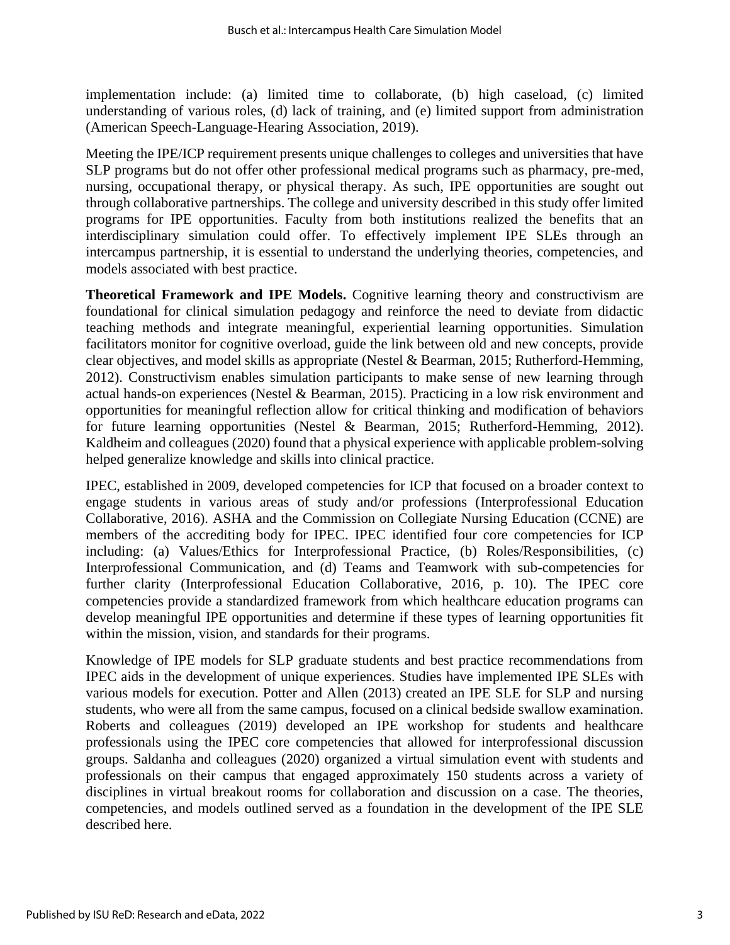implementation include: (a) limited time to collaborate, (b) high caseload, (c) limited understanding of various roles, (d) lack of training, and (e) limited support from administration (American Speech-Language-Hearing Association, 2019).

Meeting the IPE/ICP requirement presents unique challenges to colleges and universities that have SLP programs but do not offer other professional medical programs such as pharmacy, pre-med, nursing, occupational therapy, or physical therapy. As such, IPE opportunities are sought out through collaborative partnerships. The college and university described in this study offer limited programs for IPE opportunities. Faculty from both institutions realized the benefits that an interdisciplinary simulation could offer. To effectively implement IPE SLEs through an intercampus partnership, it is essential to understand the underlying theories, competencies, and models associated with best practice.

**Theoretical Framework and IPE Models.** Cognitive learning theory and constructivism are foundational for clinical simulation pedagogy and reinforce the need to deviate from didactic teaching methods and integrate meaningful, experiential learning opportunities. Simulation facilitators monitor for cognitive overload, guide the link between old and new concepts, provide clear objectives, and model skills as appropriate (Nestel & Bearman, 2015; Rutherford-Hemming, 2012). Constructivism enables simulation participants to make sense of new learning through actual hands-on experiences (Nestel & Bearman, 2015). Practicing in a low risk environment and opportunities for meaningful reflection allow for critical thinking and modification of behaviors for future learning opportunities (Nestel & Bearman, 2015; Rutherford-Hemming, 2012). Kaldheim and colleagues (2020) found that a physical experience with applicable problem-solving helped generalize knowledge and skills into clinical practice.

IPEC, established in 2009, developed competencies for ICP that focused on a broader context to engage students in various areas of study and/or professions (Interprofessional Education Collaborative, 2016). ASHA and the Commission on Collegiate Nursing Education (CCNE) are members of the accrediting body for IPEC. IPEC identified four core competencies for ICP including: (a) Values/Ethics for Interprofessional Practice, (b) Roles/Responsibilities, (c) Interprofessional Communication, and (d) Teams and Teamwork with sub-competencies for further clarity (Interprofessional Education Collaborative, 2016, p. 10). The IPEC core competencies provide a standardized framework from which healthcare education programs can develop meaningful IPE opportunities and determine if these types of learning opportunities fit within the mission, vision, and standards for their programs.

Knowledge of IPE models for SLP graduate students and best practice recommendations from IPEC aids in the development of unique experiences. Studies have implemented IPE SLEs with various models for execution. Potter and Allen (2013) created an IPE SLE for SLP and nursing students, who were all from the same campus, focused on a clinical bedside swallow examination. Roberts and colleagues (2019) developed an IPE workshop for students and healthcare professionals using the IPEC core competencies that allowed for interprofessional discussion groups. Saldanha and colleagues (2020) organized a virtual simulation event with students and professionals on their campus that engaged approximately 150 students across a variety of disciplines in virtual breakout rooms for collaboration and discussion on a case. The theories, competencies, and models outlined served as a foundation in the development of the IPE SLE described here.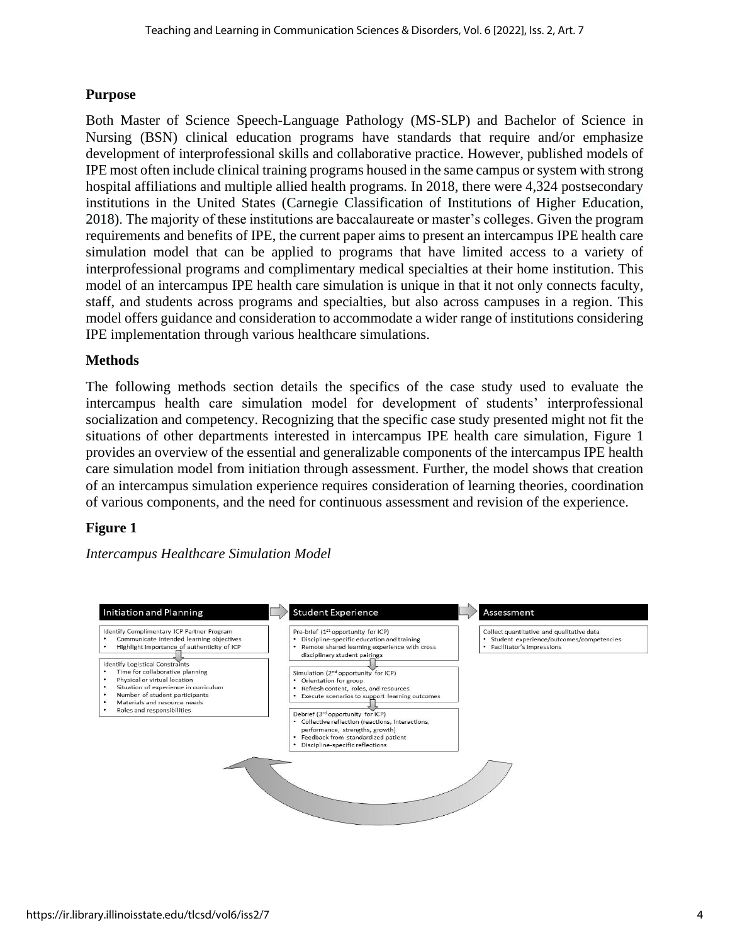#### **Purpose**

Both Master of Science Speech-Language Pathology (MS-SLP) and Bachelor of Science in Nursing (BSN) clinical education programs have standards that require and/or emphasize development of interprofessional skills and collaborative practice. However, published models of IPE most often include clinical training programs housed in the same campus or system with strong hospital affiliations and multiple allied health programs. In 2018, there were 4,324 postsecondary institutions in the United States (Carnegie Classification of Institutions of Higher Education, 2018). The majority of these institutions are baccalaureate or master's colleges. Given the program requirements and benefits of IPE, the current paper aims to present an intercampus IPE health care simulation model that can be applied to programs that have limited access to a variety of interprofessional programs and complimentary medical specialties at their home institution. This model of an intercampus IPE health care simulation is unique in that it not only connects faculty, staff, and students across programs and specialties, but also across campuses in a region. This model offers guidance and consideration to accommodate a wider range of institutions considering IPE implementation through various healthcare simulations.

#### **Methods**

The following methods section details the specifics of the case study used to evaluate the intercampus health care simulation model for development of students' interprofessional socialization and competency. Recognizing that the specific case study presented might not fit the situations of other departments interested in intercampus IPE health care simulation, Figure 1 provides an overview of the essential and generalizable components of the intercampus IPE health care simulation model from initiation through assessment. Further, the model shows that creation of an intercampus simulation experience requires consideration of learning theories, coordination of various components, and the need for continuous assessment and revision of the experience.

#### **Figure 1**

*Intercampus Healthcare Simulation Model* 

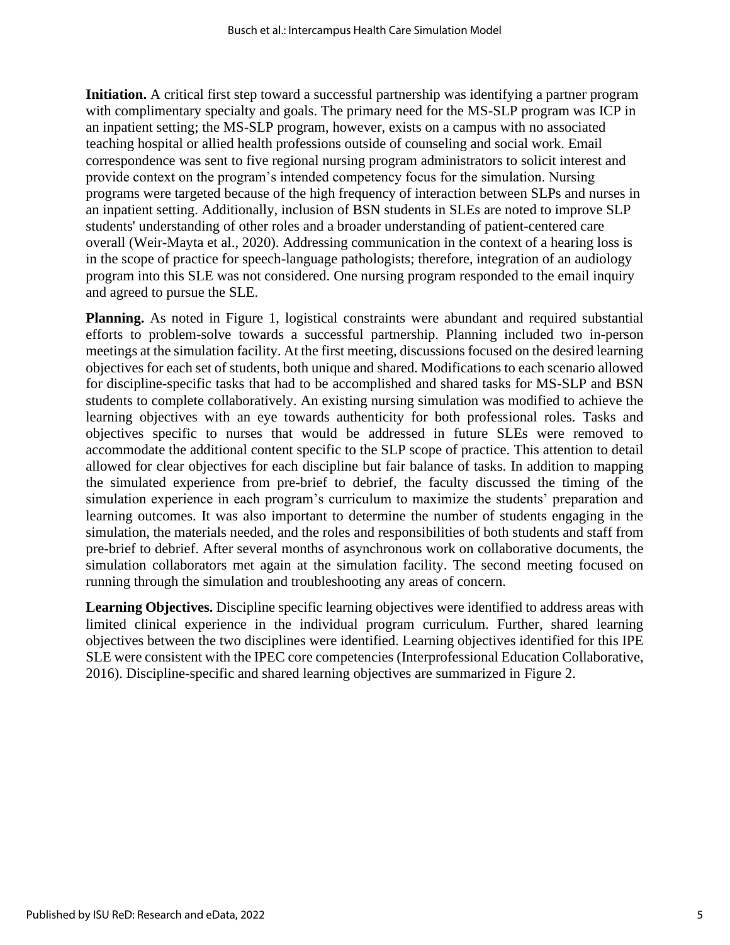**Initiation.** A critical first step toward a successful partnership was identifying a partner program with complimentary specialty and goals. The primary need for the MS-SLP program was ICP in an inpatient setting; the MS-SLP program, however, exists on a campus with no associated teaching hospital or allied health professions outside of counseling and social work. Email correspondence was sent to five regional nursing program administrators to solicit interest and provide context on the program's intended competency focus for the simulation. Nursing programs were targeted because of the high frequency of interaction between SLPs and nurses in an inpatient setting. Additionally, inclusion of BSN students in SLEs are noted to improve SLP students' understanding of other roles and a broader understanding of patient-centered care overall (Weir-Mayta et al., 2020). Addressing communication in the context of a hearing loss is in the scope of practice for speech-language pathologists; therefore, integration of an audiology program into this SLE was not considered. One nursing program responded to the email inquiry and agreed to pursue the SLE.

**Planning.** As noted in Figure 1, logistical constraints were abundant and required substantial efforts to problem-solve towards a successful partnership. Planning included two in-person meetings at the simulation facility. At the first meeting, discussions focused on the desired learning objectives for each set of students, both unique and shared. Modifications to each scenario allowed for discipline-specific tasks that had to be accomplished and shared tasks for MS-SLP and BSN students to complete collaboratively. An existing nursing simulation was modified to achieve the learning objectives with an eye towards authenticity for both professional roles. Tasks and objectives specific to nurses that would be addressed in future SLEs were removed to accommodate the additional content specific to the SLP scope of practice. This attention to detail allowed for clear objectives for each discipline but fair balance of tasks. In addition to mapping the simulated experience from pre-brief to debrief, the faculty discussed the timing of the simulation experience in each program's curriculum to maximize the students' preparation and learning outcomes. It was also important to determine the number of students engaging in the simulation, the materials needed, and the roles and responsibilities of both students and staff from pre-brief to debrief. After several months of asynchronous work on collaborative documents, the simulation collaborators met again at the simulation facility. The second meeting focused on running through the simulation and troubleshooting any areas of concern.

**Learning Objectives.** Discipline specific learning objectives were identified to address areas with limited clinical experience in the individual program curriculum. Further, shared learning objectives between the two disciplines were identified. Learning objectives identified for this IPE SLE were consistent with the IPEC core competencies (Interprofessional Education Collaborative, 2016). Discipline-specific and shared learning objectives are summarized in Figure 2.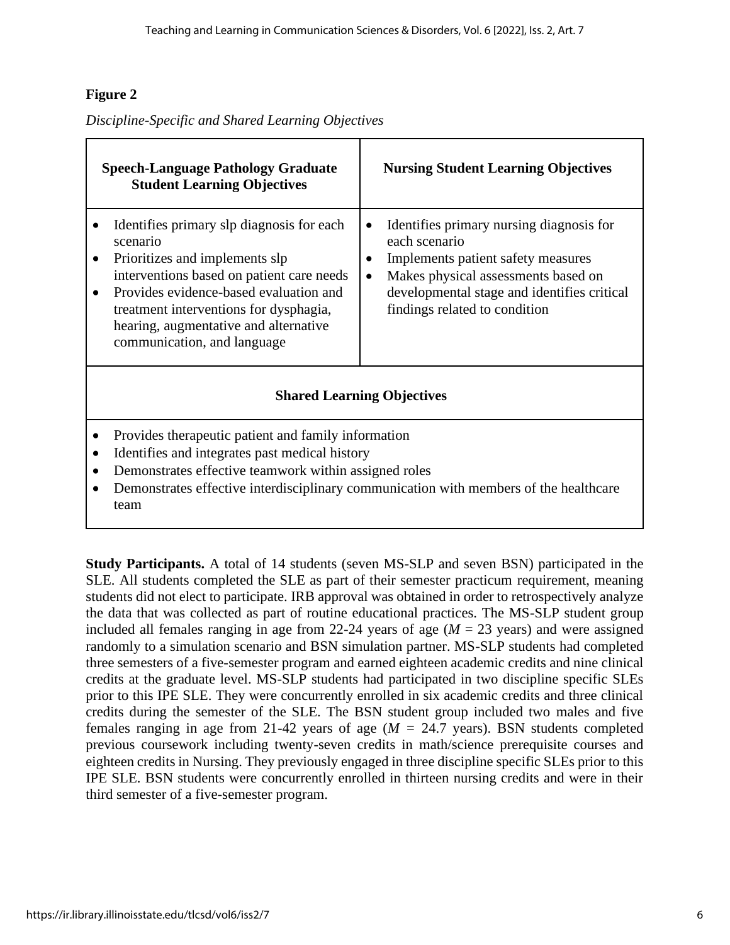### **Figure 2**

*Discipline-Specific and Shared Learning Objectives*

| <b>Speech-Language Pathology Graduate</b><br><b>Student Learning Objectives</b> |                                                                                                                                                                                                                                                                                                  | <b>Nursing Student Learning Objectives</b> |                                                                                                                                                                                                                        |
|---------------------------------------------------------------------------------|--------------------------------------------------------------------------------------------------------------------------------------------------------------------------------------------------------------------------------------------------------------------------------------------------|--------------------------------------------|------------------------------------------------------------------------------------------------------------------------------------------------------------------------------------------------------------------------|
| $\bullet$                                                                       | Identifies primary slp diagnosis for each<br>scenario<br>Prioritizes and implements slp<br>interventions based on patient care needs<br>Provides evidence-based evaluation and<br>treatment interventions for dysphagia,<br>hearing, augmentative and alternative<br>communication, and language | $\bullet$<br>$\bullet$<br>$\bullet$        | Identifies primary nursing diagnosis for<br>each scenario<br>Implements patient safety measures<br>Makes physical assessments based on<br>developmental stage and identifies critical<br>findings related to condition |
| <b>Shared Learning Objectives</b>                                               |                                                                                                                                                                                                                                                                                                  |                                            |                                                                                                                                                                                                                        |
| $\bullet$<br>$\bullet$                                                          | Provides therapeutic patient and family information<br>Identifies and integrates past medical history<br>Demonstrates effective teamwork within assigned roles<br>Demonstrates effective interdisciplinary communication with members of the healthcare<br>team                                  |                                            |                                                                                                                                                                                                                        |

**Study Participants.** A total of 14 students (seven MS-SLP and seven BSN) participated in the SLE. All students completed the SLE as part of their semester practicum requirement, meaning students did not elect to participate. IRB approval was obtained in order to retrospectively analyze the data that was collected as part of routine educational practices. The MS-SLP student group included all females ranging in age from 22-24 years of age  $(M = 23 \text{ years})$  and were assigned randomly to a simulation scenario and BSN simulation partner. MS-SLP students had completed three semesters of a five-semester program and earned eighteen academic credits and nine clinical credits at the graduate level. MS-SLP students had participated in two discipline specific SLEs prior to this IPE SLE. They were concurrently enrolled in six academic credits and three clinical credits during the semester of the SLE. The BSN student group included two males and five females ranging in age from 21-42 years of age (*M =* 24.7 years). BSN students completed previous coursework including twenty-seven credits in math/science prerequisite courses and eighteen credits in Nursing. They previously engaged in three discipline specific SLEs prior to this IPE SLE. BSN students were concurrently enrolled in thirteen nursing credits and were in their third semester of a five-semester program.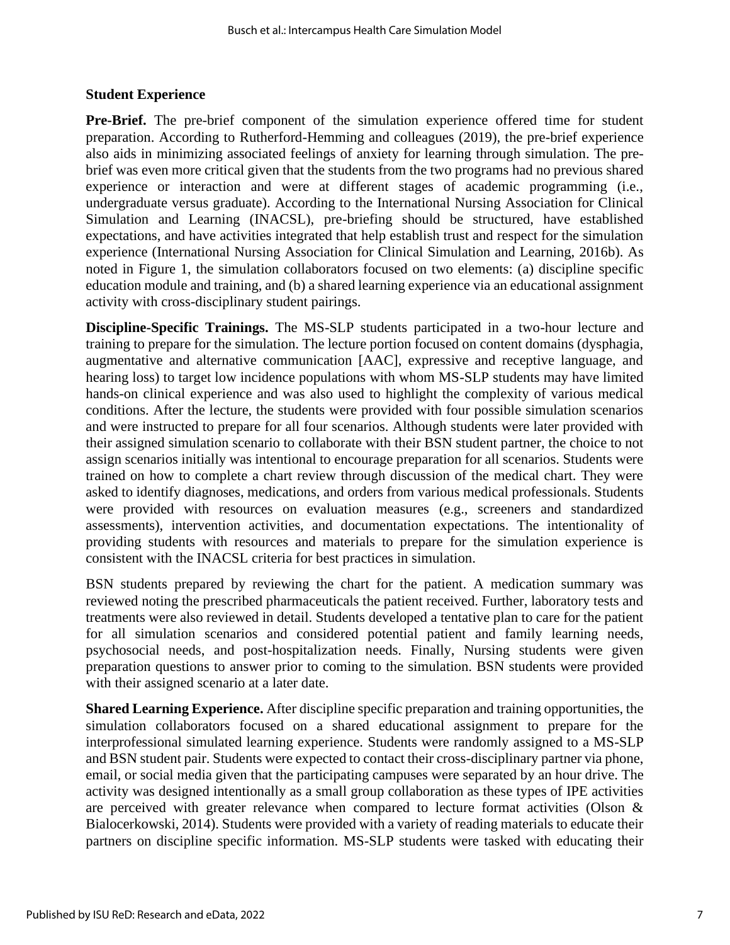#### **Student Experience**

**Pre-Brief.** The pre-brief component of the simulation experience offered time for student preparation. According to Rutherford-Hemming and colleagues (2019), the pre-brief experience also aids in minimizing associated feelings of anxiety for learning through simulation. The prebrief was even more critical given that the students from the two programs had no previous shared experience or interaction and were at different stages of academic programming (i.e., undergraduate versus graduate). According to the International Nursing Association for Clinical Simulation and Learning (INACSL), pre-briefing should be structured, have established expectations, and have activities integrated that help establish trust and respect for the simulation experience (International Nursing Association for Clinical Simulation and Learning, 2016b). As noted in Figure 1, the simulation collaborators focused on two elements: (a) discipline specific education module and training, and (b) a shared learning experience via an educational assignment activity with cross-disciplinary student pairings.

**Discipline-Specific Trainings.** The MS-SLP students participated in a two-hour lecture and training to prepare for the simulation. The lecture portion focused on content domains (dysphagia, augmentative and alternative communication [AAC], expressive and receptive language, and hearing loss) to target low incidence populations with whom MS-SLP students may have limited hands-on clinical experience and was also used to highlight the complexity of various medical conditions. After the lecture, the students were provided with four possible simulation scenarios and were instructed to prepare for all four scenarios. Although students were later provided with their assigned simulation scenario to collaborate with their BSN student partner, the choice to not assign scenarios initially was intentional to encourage preparation for all scenarios. Students were trained on how to complete a chart review through discussion of the medical chart. They were asked to identify diagnoses, medications, and orders from various medical professionals. Students were provided with resources on evaluation measures (e.g., screeners and standardized assessments), intervention activities, and documentation expectations. The intentionality of providing students with resources and materials to prepare for the simulation experience is consistent with the INACSL criteria for best practices in simulation.

BSN students prepared by reviewing the chart for the patient. A medication summary was reviewed noting the prescribed pharmaceuticals the patient received. Further, laboratory tests and treatments were also reviewed in detail. Students developed a tentative plan to care for the patient for all simulation scenarios and considered potential patient and family learning needs, psychosocial needs, and post-hospitalization needs. Finally, Nursing students were given preparation questions to answer prior to coming to the simulation. BSN students were provided with their assigned scenario at a later date.

**Shared Learning Experience.** After discipline specific preparation and training opportunities, the simulation collaborators focused on a shared educational assignment to prepare for the interprofessional simulated learning experience. Students were randomly assigned to a MS-SLP and BSN student pair. Students were expected to contact their cross-disciplinary partner via phone, email, or social media given that the participating campuses were separated by an hour drive. The activity was designed intentionally as a small group collaboration as these types of IPE activities are perceived with greater relevance when compared to lecture format activities (Olson & Bialocerkowski, 2014). Students were provided with a variety of reading materials to educate their partners on discipline specific information. MS-SLP students were tasked with educating their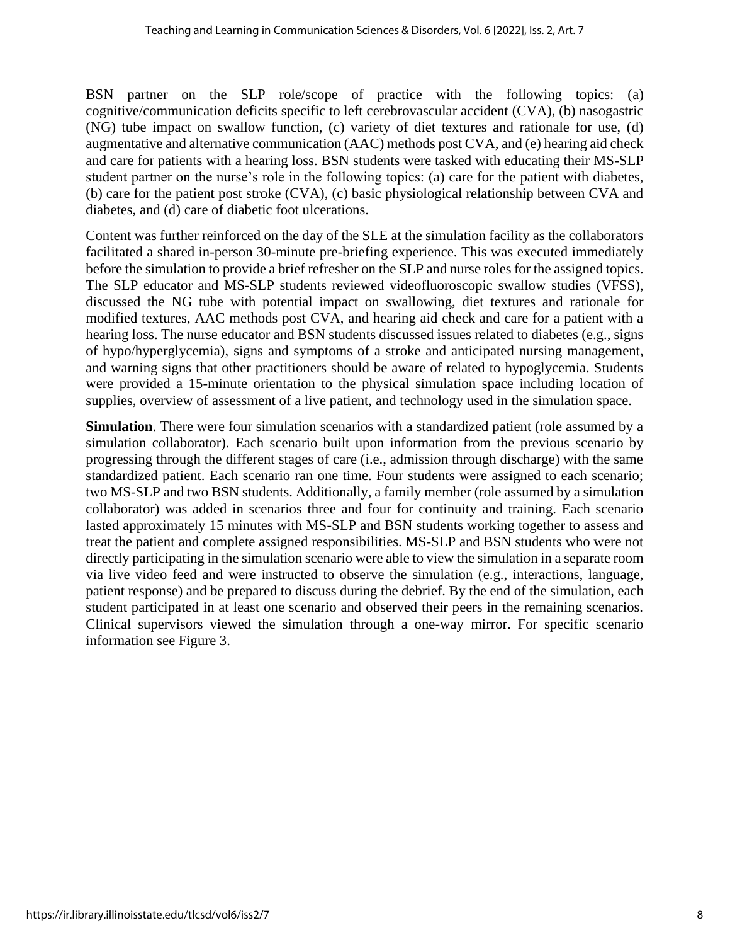BSN partner on the SLP role/scope of practice with the following topics: (a) cognitive/communication deficits specific to left cerebrovascular accident (CVA), (b) nasogastric (NG) tube impact on swallow function, (c) variety of diet textures and rationale for use, (d) augmentative and alternative communication (AAC) methods post CVA, and (e) hearing aid check and care for patients with a hearing loss. BSN students were tasked with educating their MS-SLP student partner on the nurse's role in the following topics: (a) care for the patient with diabetes, (b) care for the patient post stroke (CVA), (c) basic physiological relationship between CVA and diabetes, and (d) care of diabetic foot ulcerations.

Content was further reinforced on the day of the SLE at the simulation facility as the collaborators facilitated a shared in-person 30-minute pre-briefing experience. This was executed immediately before the simulation to provide a brief refresher on the SLP and nurse roles for the assigned topics. The SLP educator and MS-SLP students reviewed videofluoroscopic swallow studies (VFSS), discussed the NG tube with potential impact on swallowing, diet textures and rationale for modified textures, AAC methods post CVA, and hearing aid check and care for a patient with a hearing loss. The nurse educator and BSN students discussed issues related to diabetes (e.g., signs of hypo/hyperglycemia), signs and symptoms of a stroke and anticipated nursing management, and warning signs that other practitioners should be aware of related to hypoglycemia. Students were provided a 15-minute orientation to the physical simulation space including location of supplies, overview of assessment of a live patient, and technology used in the simulation space.

**Simulation**. There were four simulation scenarios with a standardized patient (role assumed by a simulation collaborator). Each scenario built upon information from the previous scenario by progressing through the different stages of care (i.e., admission through discharge) with the same standardized patient. Each scenario ran one time. Four students were assigned to each scenario; two MS-SLP and two BSN students. Additionally, a family member (role assumed by a simulation collaborator) was added in scenarios three and four for continuity and training. Each scenario lasted approximately 15 minutes with MS-SLP and BSN students working together to assess and treat the patient and complete assigned responsibilities. MS-SLP and BSN students who were not directly participating in the simulation scenario were able to view the simulation in a separate room via live video feed and were instructed to observe the simulation (e.g., interactions, language, patient response) and be prepared to discuss during the debrief. By the end of the simulation, each student participated in at least one scenario and observed their peers in the remaining scenarios. Clinical supervisors viewed the simulation through a one-way mirror. For specific scenario information see Figure 3.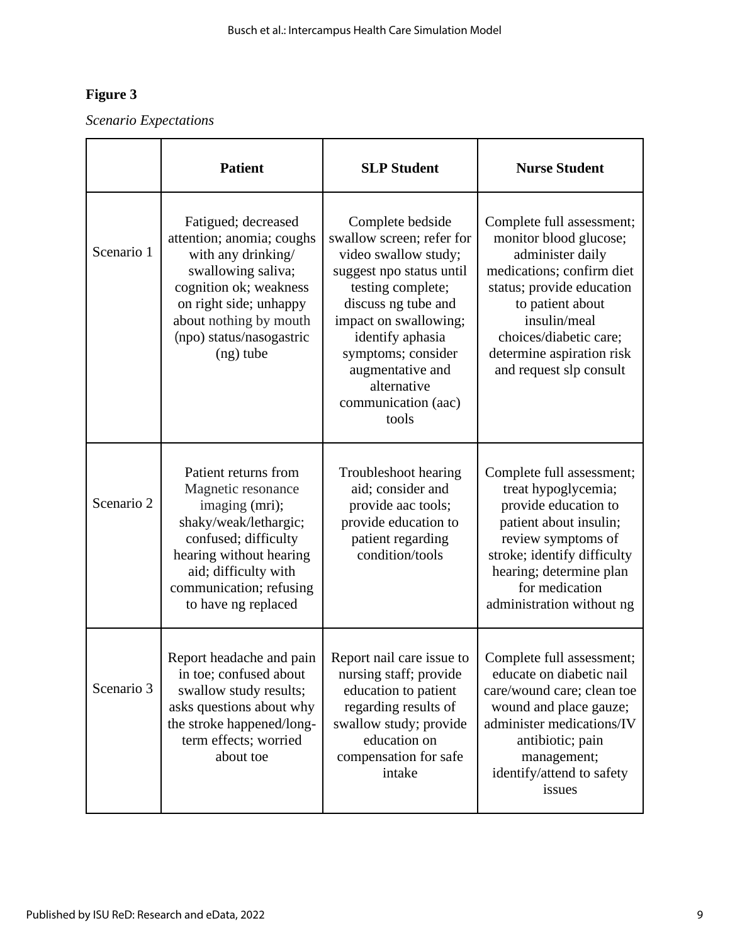# **Figure 3**

*Scenario Expectations*

|            | <b>Patient</b>                                                                                                                                                                                                        | <b>SLP Student</b>                                                                                                                                                                                                                                                                  | <b>Nurse Student</b>                                                                                                                                                                                                                                    |
|------------|-----------------------------------------------------------------------------------------------------------------------------------------------------------------------------------------------------------------------|-------------------------------------------------------------------------------------------------------------------------------------------------------------------------------------------------------------------------------------------------------------------------------------|---------------------------------------------------------------------------------------------------------------------------------------------------------------------------------------------------------------------------------------------------------|
| Scenario 1 | Fatigued; decreased<br>attention; anomia; coughs<br>with any drinking/<br>swallowing saliva;<br>cognition ok; weakness<br>on right side; unhappy<br>about nothing by mouth<br>(npo) status/nasogastric<br>$(ng)$ tube | Complete bedside<br>swallow screen; refer for<br>video swallow study;<br>suggest npo status until<br>testing complete;<br>discuss ng tube and<br>impact on swallowing;<br>identify aphasia<br>symptoms; consider<br>augmentative and<br>alternative<br>communication (aac)<br>tools | Complete full assessment;<br>monitor blood glucose;<br>administer daily<br>medications; confirm diet<br>status; provide education<br>to patient about<br>insulin/meal<br>choices/diabetic care;<br>determine aspiration risk<br>and request slp consult |
| Scenario 2 | Patient returns from<br>Magnetic resonance<br>imaging (mri);<br>shaky/weak/lethargic;<br>confused; difficulty<br>hearing without hearing<br>aid; difficulty with<br>communication; refusing<br>to have ng replaced    | Troubleshoot hearing<br>aid; consider and<br>provide aac tools;<br>provide education to<br>patient regarding<br>condition/tools                                                                                                                                                     | Complete full assessment;<br>treat hypoglycemia;<br>provide education to<br>patient about insulin;<br>review symptoms of<br>stroke; identify difficulty<br>hearing; determine plan<br>for medication<br>administration without ng                       |
| Scenario 3 | Report headache and pain<br>in toe; confused about<br>swallow study results;<br>asks questions about why<br>the stroke happened/long-<br>term effects; worried<br>about toe                                           | Report nail care issue to<br>nursing staff; provide<br>education to patient<br>regarding results of<br>swallow study; provide<br>education on<br>compensation for safe<br>intake                                                                                                    | Complete full assessment;<br>educate on diabetic nail<br>care/wound care; clean toe<br>wound and place gauze;<br>administer medications/IV<br>antibiotic; pain<br>management;<br>identify/attend to safety<br>issues                                    |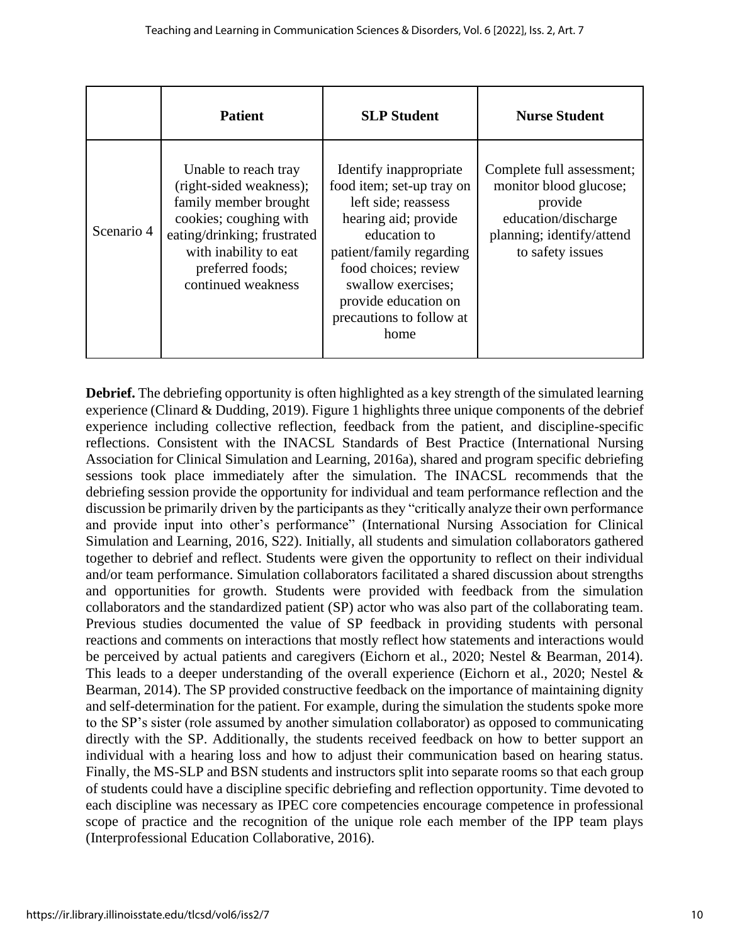|            | <b>Patient</b>                                                                                                                                                                                       | <b>SLP Student</b>                                                                                                                                                                                                                                       | <b>Nurse Student</b>                                                                                                                   |
|------------|------------------------------------------------------------------------------------------------------------------------------------------------------------------------------------------------------|----------------------------------------------------------------------------------------------------------------------------------------------------------------------------------------------------------------------------------------------------------|----------------------------------------------------------------------------------------------------------------------------------------|
| Scenario 4 | Unable to reach tray<br>(right-sided weakness);<br>family member brought<br>cookies; coughing with<br>eating/drinking; frustrated<br>with inability to eat<br>preferred foods;<br>continued weakness | Identify inappropriate<br>food item; set-up tray on<br>left side; reassess<br>hearing aid; provide<br>education to<br>patient/family regarding<br>food choices; review<br>swallow exercises;<br>provide education on<br>precautions to follow at<br>home | Complete full assessment;<br>monitor blood glucose;<br>provide<br>education/discharge<br>planning; identify/attend<br>to safety issues |

**Debrief.** The debriefing opportunity is often highlighted as a key strength of the simulated learning experience (Clinard & Dudding, 2019). Figure 1 highlights three unique components of the debrief experience including collective reflection, feedback from the patient, and discipline-specific reflections. Consistent with the INACSL Standards of Best Practice (International Nursing Association for Clinical Simulation and Learning, 2016a), shared and program specific debriefing sessions took place immediately after the simulation. The INACSL recommends that the debriefing session provide the opportunity for individual and team performance reflection and the discussion be primarily driven by the participants as they "critically analyze their own performance and provide input into other's performance" (International Nursing Association for Clinical Simulation and Learning, 2016, S22). Initially, all students and simulation collaborators gathered together to debrief and reflect. Students were given the opportunity to reflect on their individual and/or team performance. Simulation collaborators facilitated a shared discussion about strengths and opportunities for growth. Students were provided with feedback from the simulation collaborators and the standardized patient (SP) actor who was also part of the collaborating team. Previous studies documented the value of SP feedback in providing students with personal reactions and comments on interactions that mostly reflect how statements and interactions would be perceived by actual patients and caregivers (Eichorn et al., 2020; Nestel & Bearman, 2014). This leads to a deeper understanding of the overall experience (Eichorn et al., 2020; Nestel & Bearman, 2014). The SP provided constructive feedback on the importance of maintaining dignity and self-determination for the patient. For example, during the simulation the students spoke more to the SP's sister (role assumed by another simulation collaborator) as opposed to communicating directly with the SP. Additionally, the students received feedback on how to better support an individual with a hearing loss and how to adjust their communication based on hearing status. Finally, the MS-SLP and BSN students and instructors split into separate rooms so that each group of students could have a discipline specific debriefing and reflection opportunity. Time devoted to each discipline was necessary as IPEC core competencies encourage competence in professional scope of practice and the recognition of the unique role each member of the IPP team plays (Interprofessional Education Collaborative, 2016).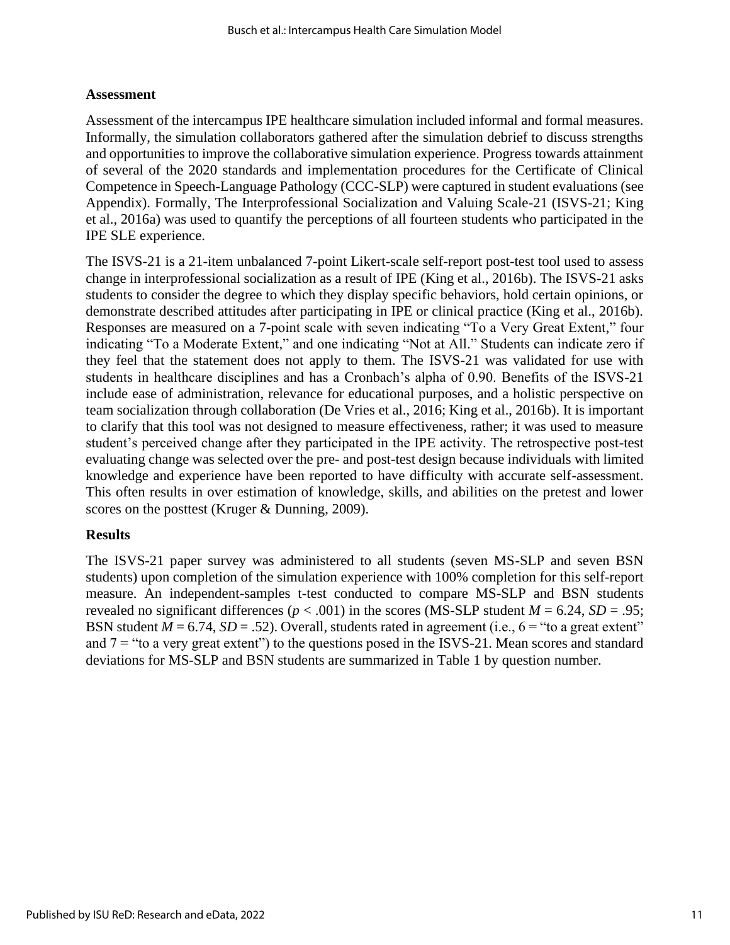#### **Assessment**

Assessment of the intercampus IPE healthcare simulation included informal and formal measures. Informally, the simulation collaborators gathered after the simulation debrief to discuss strengths and opportunities to improve the collaborative simulation experience. Progress towards attainment of several of the 2020 standards and implementation procedures for the Certificate of Clinical Competence in Speech-Language Pathology (CCC-SLP) were captured in student evaluations (see Appendix). Formally, The Interprofessional Socialization and Valuing Scale-21 (ISVS-21; King et al., 2016a) was used to quantify the perceptions of all fourteen students who participated in the IPE SLE experience.

The ISVS-21 is a 21-item unbalanced 7-point Likert-scale self-report post-test tool used to assess change in interprofessional socialization as a result of IPE (King et al., 2016b). The ISVS-21 asks students to consider the degree to which they display specific behaviors, hold certain opinions, or demonstrate described attitudes after participating in IPE or clinical practice (King et al., 2016b). Responses are measured on a 7-point scale with seven indicating "To a Very Great Extent," four indicating "To a Moderate Extent," and one indicating "Not at All." Students can indicate zero if they feel that the statement does not apply to them. The ISVS-21 was validated for use with students in healthcare disciplines and has a Cronbach's alpha of 0.90. Benefits of the ISVS-21 include ease of administration, relevance for educational purposes, and a holistic perspective on team socialization through collaboration (De Vries et al., 2016; King et al., 2016b). It is important to clarify that this tool was not designed to measure effectiveness, rather; it was used to measure student's perceived change after they participated in the IPE activity. The retrospective post-test evaluating change was selected over the pre- and post-test design because individuals with limited knowledge and experience have been reported to have difficulty with accurate self-assessment. This often results in over estimation of knowledge, skills, and abilities on the pretest and lower scores on the posttest (Kruger & Dunning, 2009).

#### **Results**

The ISVS-21 paper survey was administered to all students (seven MS-SLP and seven BSN students) upon completion of the simulation experience with 100% completion for this self-report measure. An independent-samples t-test conducted to compare MS-SLP and BSN students revealed no significant differences ( $p < .001$ ) in the scores (MS-SLP student  $M = 6.24$ ,  $SD = .95$ ; BSN student  $M = 6.74$ ,  $SD = .52$ ). Overall, students rated in agreement (i.e.,  $6 =$  "to a great extent" and  $7 =$  "to a very great extent") to the questions posed in the ISVS-21. Mean scores and standard deviations for MS-SLP and BSN students are summarized in Table 1 by question number.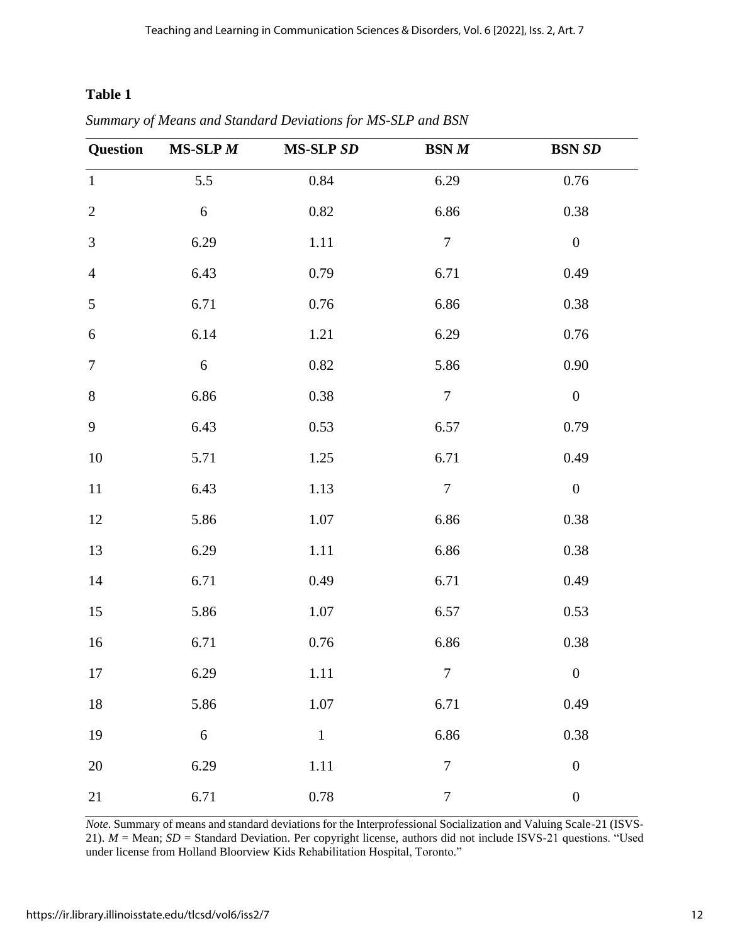### **Table 1**

| <b>Question</b>  | $MS-SLP M$ | <b>MS-SLP SD</b> | BSN M            | <b>BSN SD</b>    |
|------------------|------------|------------------|------------------|------------------|
| $\mathbf{1}$     | 5.5        | 0.84             | 6.29             | $0.76\,$         |
| $\mathbf{2}$     | 6          | $0.82\,$         | 6.86             | 0.38             |
| 3                | 6.29       | 1.11             | $\boldsymbol{7}$ | $\boldsymbol{0}$ |
| $\overline{4}$   | 6.43       | 0.79             | 6.71             | 0.49             |
| $\mathfrak{S}$   | 6.71       | $0.76\,$         | 6.86             | 0.38             |
| $\boldsymbol{6}$ | 6.14       | $1.21\,$         | 6.29             | $0.76\,$         |
| $\tau$           | 6          | $0.82\,$         | 5.86             | 0.90             |
| $8\,$            | 6.86       | $0.38\,$         | $\boldsymbol{7}$ | $\boldsymbol{0}$ |
| 9                | 6.43       | 0.53             | 6.57             | 0.79             |
| 10               | 5.71       | 1.25             | 6.71             | 0.49             |
| 11               | 6.43       | 1.13             | $\tau$           | $\boldsymbol{0}$ |
| 12               | 5.86       | $1.07\,$         | 6.86             | 0.38             |
| 13               | 6.29       | $1.11\,$         | 6.86             | $0.38\,$         |
| 14               | 6.71       | 0.49             | 6.71             | 0.49             |
| 15               | 5.86       | 1.07             | 6.57             | 0.53             |
| 16               | 6.71       | $0.76\,$         | 6.86             | 0.38             |
| $17\,$           | 6.29       | 1.11             | $\overline{7}$   | $\boldsymbol{0}$ |
| 18               | 5.86       | $1.07\,$         | 6.71             | 0.49             |
| 19               | $\sqrt{6}$ | $\,1\,$          | 6.86             | $0.38\,$         |
| $20\,$           | 6.29       | $1.11\,$         | $\overline{7}$   | $\boldsymbol{0}$ |
| 21               | 6.71       | $0.78\,$         | $\boldsymbol{7}$ | $\boldsymbol{0}$ |

*Summary of Means and Standard Deviations for MS-SLP and BSN*

*Note.* Summary of means and standard deviations for the Interprofessional Socialization and Valuing Scale-21 (ISVS-21). *M* = Mean; *SD* = Standard Deviation. Per copyright license, authors did not include ISVS-21 questions. "Used under license from Holland Bloorview Kids Rehabilitation Hospital, Toronto."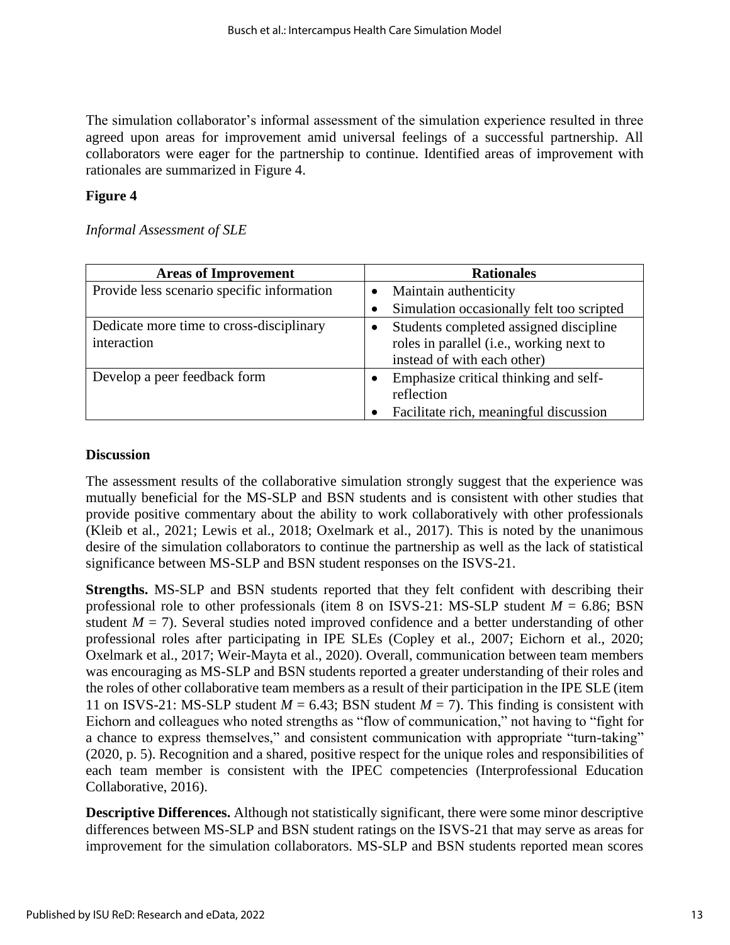The simulation collaborator's informal assessment of the simulation experience resulted in three agreed upon areas for improvement amid universal feelings of a successful partnership. All collaborators were eager for the partnership to continue. Identified areas of improvement with rationales are summarized in Figure 4.

#### **Figure 4**

*Informal Assessment of SLE*

| <b>Areas of Improvement</b>                | <b>Rationales</b>                         |  |
|--------------------------------------------|-------------------------------------------|--|
| Provide less scenario specific information | Maintain authenticity                     |  |
|                                            | Simulation occasionally felt too scripted |  |
| Dedicate more time to cross-disciplinary   | Students completed assigned discipline    |  |
| interaction                                | roles in parallel (i.e., working next to  |  |
|                                            | instead of with each other)               |  |
| Develop a peer feedback form               | Emphasize critical thinking and self-     |  |
|                                            | reflection                                |  |
|                                            | Facilitate rich, meaningful discussion    |  |

#### **Discussion**

The assessment results of the collaborative simulation strongly suggest that the experience was mutually beneficial for the MS-SLP and BSN students and is consistent with other studies that provide positive commentary about the ability to work collaboratively with other professionals (Kleib et al., 2021; Lewis et al., 2018; Oxelmark et al., 2017). This is noted by the unanimous desire of the simulation collaborators to continue the partnership as well as the lack of statistical significance between MS-SLP and BSN student responses on the ISVS-21.

**Strengths.** MS-SLP and BSN students reported that they felt confident with describing their professional role to other professionals (item 8 on ISVS-21: MS-SLP student  $M = 6.86$ ; BSN student  $M = 7$ ). Several studies noted improved confidence and a better understanding of other professional roles after participating in IPE SLEs (Copley et al., 2007; Eichorn et al., 2020; Oxelmark et al., 2017; Weir-Mayta et al., 2020). Overall, communication between team members was encouraging as MS-SLP and BSN students reported a greater understanding of their roles and the roles of other collaborative team members as a result of their participation in the IPE SLE (item 11 on ISVS-21: MS-SLP student  $M = 6.43$ ; BSN student  $M = 7$ ). This finding is consistent with Eichorn and colleagues who noted strengths as "flow of communication," not having to "fight for a chance to express themselves," and consistent communication with appropriate "turn-taking" (2020, p. 5). Recognition and a shared, positive respect for the unique roles and responsibilities of each team member is consistent with the IPEC competencies (Interprofessional Education Collaborative, 2016).

**Descriptive Differences.** Although not statistically significant, there were some minor descriptive differences between MS-SLP and BSN student ratings on the ISVS-21 that may serve as areas for improvement for the simulation collaborators. MS-SLP and BSN students reported mean scores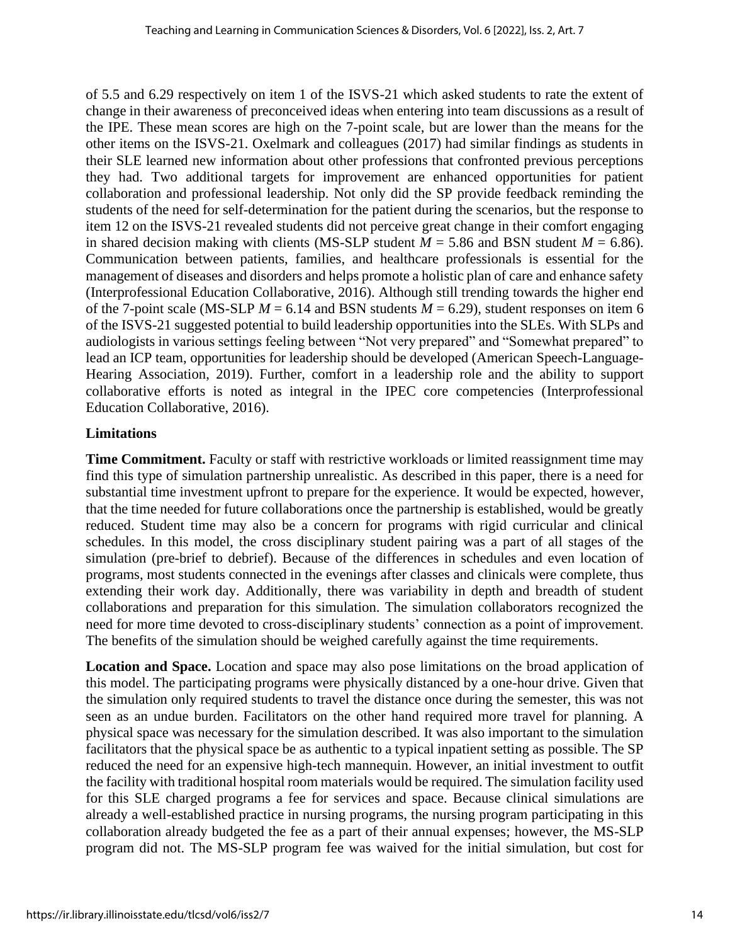of 5.5 and 6.29 respectively on item 1 of the ISVS-21 which asked students to rate the extent of change in their awareness of preconceived ideas when entering into team discussions as a result of the IPE. These mean scores are high on the 7-point scale, but are lower than the means for the other items on the ISVS-21. Oxelmark and colleagues (2017) had similar findings as students in their SLE learned new information about other professions that confronted previous perceptions they had. Two additional targets for improvement are enhanced opportunities for patient collaboration and professional leadership. Not only did the SP provide feedback reminding the students of the need for self-determination for the patient during the scenarios, but the response to item 12 on the ISVS-21 revealed students did not perceive great change in their comfort engaging in shared decision making with clients (MS-SLP student  $M = 5.86$  and BSN student  $M = 6.86$ ). Communication between patients, families, and healthcare professionals is essential for the management of diseases and disorders and helps promote a holistic plan of care and enhance safety (Interprofessional Education Collaborative, 2016). Although still trending towards the higher end of the 7-point scale (MS-SLP  $M = 6.14$  and BSN students  $M = 6.29$ ), student responses on item 6 of the ISVS-21 suggested potential to build leadership opportunities into the SLEs. With SLPs and audiologists in various settings feeling between "Not very prepared" and "Somewhat prepared" to lead an ICP team, opportunities for leadership should be developed (American Speech-Language-Hearing Association, 2019). Further, comfort in a leadership role and the ability to support collaborative efforts is noted as integral in the IPEC core competencies (Interprofessional Education Collaborative, 2016).

#### **Limitations**

**Time Commitment.** Faculty or staff with restrictive workloads or limited reassignment time may find this type of simulation partnership unrealistic. As described in this paper, there is a need for substantial time investment upfront to prepare for the experience. It would be expected, however, that the time needed for future collaborations once the partnership is established, would be greatly reduced. Student time may also be a concern for programs with rigid curricular and clinical schedules. In this model, the cross disciplinary student pairing was a part of all stages of the simulation (pre-brief to debrief). Because of the differences in schedules and even location of programs, most students connected in the evenings after classes and clinicals were complete, thus extending their work day. Additionally, there was variability in depth and breadth of student collaborations and preparation for this simulation. The simulation collaborators recognized the need for more time devoted to cross-disciplinary students' connection as a point of improvement. The benefits of the simulation should be weighed carefully against the time requirements.

**Location and Space.** Location and space may also pose limitations on the broad application of this model. The participating programs were physically distanced by a one-hour drive. Given that the simulation only required students to travel the distance once during the semester, this was not seen as an undue burden. Facilitators on the other hand required more travel for planning. A physical space was necessary for the simulation described. It was also important to the simulation facilitators that the physical space be as authentic to a typical inpatient setting as possible. The SP reduced the need for an expensive high-tech mannequin. However, an initial investment to outfit the facility with traditional hospital room materials would be required. The simulation facility used for this SLE charged programs a fee for services and space. Because clinical simulations are already a well-established practice in nursing programs, the nursing program participating in this collaboration already budgeted the fee as a part of their annual expenses; however, the MS-SLP program did not. The MS-SLP program fee was waived for the initial simulation, but cost for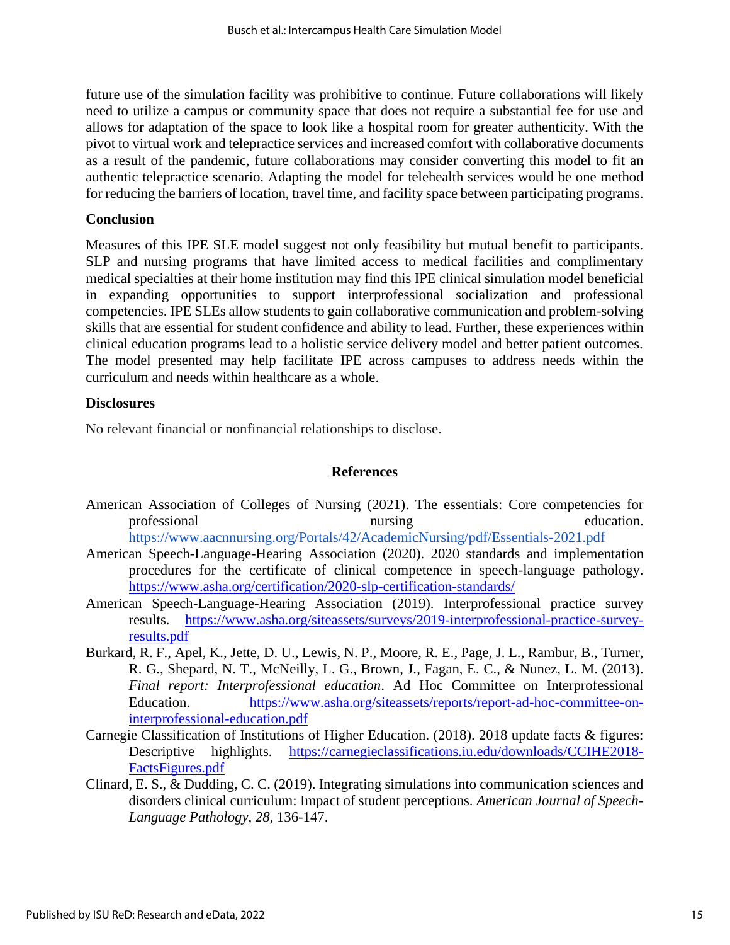future use of the simulation facility was prohibitive to continue. Future collaborations will likely need to utilize a campus or community space that does not require a substantial fee for use and allows for adaptation of the space to look like a hospital room for greater authenticity. With the pivot to virtual work and telepractice services and increased comfort with collaborative documents as a result of the pandemic, future collaborations may consider converting this model to fit an authentic telepractice scenario. Adapting the model for telehealth services would be one method for reducing the barriers of location, travel time, and facility space between participating programs.

#### **Conclusion**

Measures of this IPE SLE model suggest not only feasibility but mutual benefit to participants. SLP and nursing programs that have limited access to medical facilities and complimentary medical specialties at their home institution may find this IPE clinical simulation model beneficial in expanding opportunities to support interprofessional socialization and professional competencies. IPE SLEs allow students to gain collaborative communication and problem-solving skills that are essential for student confidence and ability to lead. Further, these experiences within clinical education programs lead to a holistic service delivery model and better patient outcomes. The model presented may help facilitate IPE across campuses to address needs within the curriculum and needs within healthcare as a whole.

#### **Disclosures**

No relevant financial or nonfinancial relationships to disclose.

#### **References**

- American Association of Colleges of Nursing (2021). The essentials: Core competencies for professional nursing nursing education. <https://www.aacnnursing.org/Portals/42/AcademicNursing/pdf/Essentials-2021.pdf>
- American Speech-Language-Hearing Association (2020). 2020 standards and implementation procedures for the certificate of clinical competence in speech-language pathology. <https://www.asha.org/certification/2020-slp-certification-standards/>
- American Speech-Language-Hearing Association (2019). Interprofessional practice survey results. [https://www.asha.org/siteassets/surveys/2019-interprofessional-practice-survey](https://www.asha.org/siteassets/surveys/2019-interprofessional-practice-survey-results.pdf)[results.pdf](https://www.asha.org/siteassets/surveys/2019-interprofessional-practice-survey-results.pdf)
- Burkard, R. F., Apel, K., Jette, D. U., Lewis, N. P., Moore, R. E., Page, J. L., Rambur, B., Turner, R. G., Shepard, N. T., McNeilly, L. G., Brown, J., Fagan, E. C., & Nunez, L. M. (2013). *Final report: Interprofessional education*. Ad Hoc Committee on Interprofessional Education. [https://www.asha.org/siteassets/reports/report-ad-hoc-committee-on](https://www.asha.org/siteassets/reports/report-ad-hoc-committee-on-interprofessional-education.pdf)[interprofessional-education.pdf](https://www.asha.org/siteassets/reports/report-ad-hoc-committee-on-interprofessional-education.pdf)
- Carnegie Classification of Institutions of Higher Education. (2018). 2018 update facts & figures: Descriptive highlights. [https://carnegieclassifications.iu.edu/downloads/CCIHE2018-](https://carnegieclassifications.iu.edu/downloads/CCIHE2018-FactsFigures.pdf) [FactsFigures.pdf](https://carnegieclassifications.iu.edu/downloads/CCIHE2018-FactsFigures.pdf)
- Clinard, E. S., & Dudding, C. C. (2019). Integrating simulations into communication sciences and disorders clinical curriculum: Impact of student perceptions. *American Journal of Speech-Language Pathology, 28,* 136-147.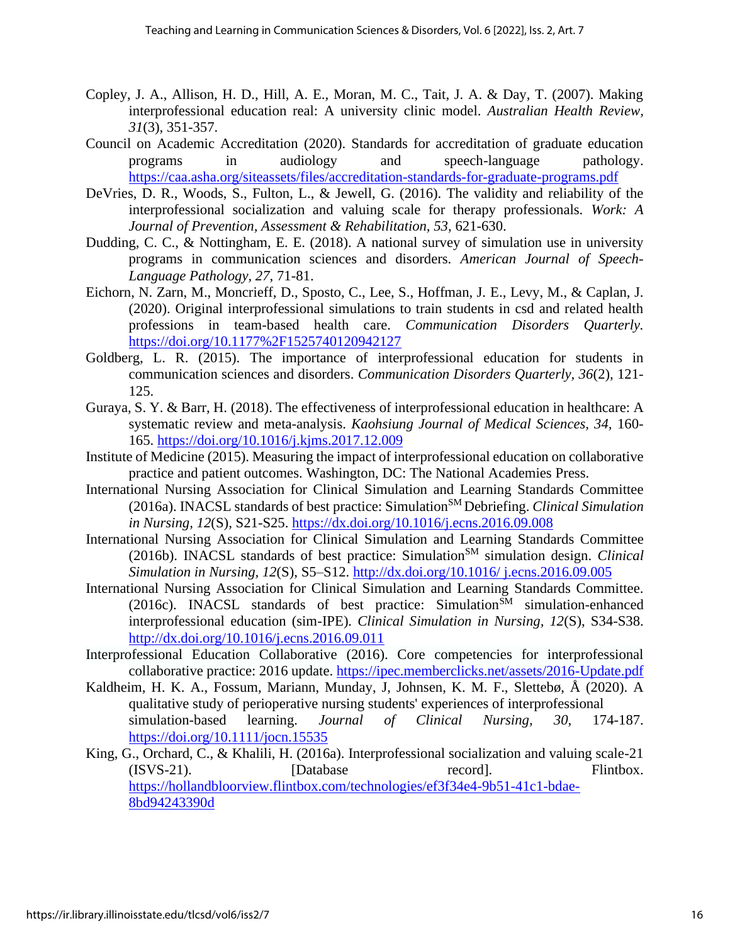- Copley, J. A., Allison, H. D., Hill, A. E., Moran, M. C., Tait, J. A. & Day, T. (2007). Making interprofessional education real: A university clinic model. *Australian Health Review, 31*(3)*,* 351-357.
- Council on Academic Accreditation (2020). Standards for accreditation of graduate education programs in audiology and speech-language pathology. <https://caa.asha.org/siteassets/files/accreditation-standards-for-graduate-programs.pdf>
- DeVries, D. R., Woods, S., Fulton, L., & Jewell, G. (2016). The validity and reliability of the interprofessional socialization and valuing scale for therapy professionals. *Work: A Journal of Prevention, Assessment & Rehabilitation, 53,* 621-630.
- Dudding, C. C., & Nottingham, E. E. (2018). A national survey of simulation use in university programs in communication sciences and disorders. *American Journal of Speech-Language Pathology, 27,* 71-81.
- Eichorn, N. Zarn, M., Moncrieff, D., Sposto, C., Lee, S., Hoffman, J. E., Levy, M., & Caplan, J. (2020). Original interprofessional simulations to train students in csd and related health professions in team-based health care. *Communication Disorders Quarterly.*  <https://doi.org/10.1177%2F1525740120942127>
- Goldberg, L. R. (2015). The importance of interprofessional education for students in communication sciences and disorders. *Communication Disorders Quarterly, 36*(2)*,* 121- 125.
- Guraya, S. Y. & Barr, H. (2018). The effectiveness of interprofessional education in healthcare: A systematic review and meta-analysis. *Kaohsiung Journal of Medical Sciences, 34,* 160- 165.<https://doi.org/10.1016/j.kjms.2017.12.009>
- Institute of Medicine (2015). Measuring the impact of interprofessional education on collaborative practice and patient outcomes. Washington, DC: The National Academies Press.
- International Nursing Association for Clinical Simulation and Learning Standards Committee (2016a). INACSL standards of best practice: Simulation<sup>SM</sup> Debriefing. *Clinical Simulation in Nursing, 12*(S)*,* S21-S25.<https://dx.doi.org/10.1016/j.ecns.2016.09.008>
- International Nursing Association for Clinical Simulation and Learning Standards Committee (2016b). INACSL standards of best practice: Simulation<sup>SM</sup> simulation design. *Clinical Simulation in Nursing, 12*(S), S5–S12. [http://dx.doi.org/10.1016/ j.ecns.2016.09.005](http://dx.doi.org/10.1016/%20j.ecns.2016.09.005)
- International Nursing Association for Clinical Simulation and Learning Standards Committee. (2016c). INACSL standards of best practice: Simulation<sup>SM</sup> simulation-enhanced interprofessional education (sim-IPE). *Clinical Simulation in Nursing, 12*(S), S34-S38. <http://dx.doi.org/10.1016/j.ecns.2016.09.011>
- Interprofessional Education Collaborative (2016). Core competencies for interprofessional collaborative practice: 2016 update.<https://ipec.memberclicks.net/assets/2016-Update.pdf>
- Kaldheim, H. K. A., Fossum, Mariann, Munday, J, Johnsen, K. M. F., Slettebø, Å (2020). A qualitative study of perioperative nursing students' experiences of interprofessional simulation-based learning. *Journal of Clinical Nursing, 30,* 174-187. <https://doi.org/10.1111/jocn.15535>
- King, G., Orchard, C., & Khalili, H. (2016a). Interprofessional socialization and valuing scale-21 (ISVS-21). [Database record]. Flintbox. [https://hollandbloorview.flintbox.com/technologies/ef3f34e4-9b51-41c1-bdae-](https://hollandbloorview.flintbox.com/technologies/ef3f34e4-9b51-41c1-bdae-8bd94243390d)[8bd94243390d](https://hollandbloorview.flintbox.com/technologies/ef3f34e4-9b51-41c1-bdae-8bd94243390d)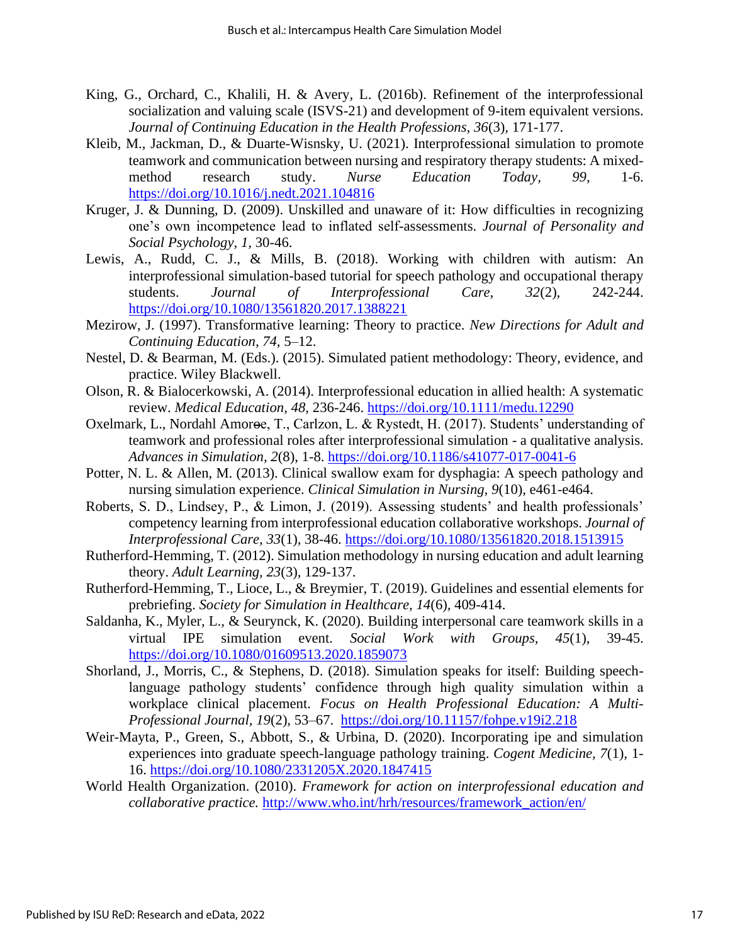- King, G., Orchard, C., Khalili, H. & Avery, L. (2016b). Refinement of the interprofessional socialization and valuing scale (ISVS-21) and development of 9-item equivalent versions. *Journal of Continuing Education in the Health Professions, 36*(3)*,* 171-177.
- Kleib, M., Jackman, D., & Duarte-Wisnsky, U. (2021). Interprofessional simulation to promote teamwork and communication between nursing and respiratory therapy students: A mixedmethod research study. *Nurse Education Today, 99,* 1-6. <https://doi.org/10.1016/j.nedt.2021.104816>
- Kruger, J. & Dunning, D. (2009). Unskilled and unaware of it: How difficulties in recognizing one's own incompetence lead to inflated self-assessments. *Journal of Personality and Social Psychology, 1,* 30-46.
- Lewis, A., Rudd, C. J., & Mills, B. (2018). Working with children with autism: An interprofessional simulation-based tutorial for speech pathology and occupational therapy students. *Journal of Interprofessional Care, 32*(2)*,* 242-244. <https://doi.org/10.1080/13561820.2017.1388221>
- Mezirow, J. (1997). Transformative learning: Theory to practice. *New Directions for Adult and Continuing Education, 74,* 5–12.
- Nestel, D. & Bearman, M. (Eds.). (2015). Simulated patient methodology: Theory, evidence, and practice. Wiley Blackwell.
- Olson, R. & Bialocerkowski, A. (2014). Interprofessional education in allied health: A systematic review. *Medical Education, 48,* 236-246. <https://doi.org/10.1111/medu.12290>
- Oxelmark, L., Nordahl Amoroe, T., Carlzon, L. & Rystedt, H. (2017). Students' understanding of teamwork and professional roles after interprofessional simulation - a qualitative analysis. *Advances in Simulation, 2*(8), 1-8. <https://doi.org/10.1186/s41077-017-0041-6>
- Potter, N. L. & Allen, M. (2013). Clinical swallow exam for dysphagia: A speech pathology and nursing simulation experience. *Clinical Simulation in Nursing, 9*(10)*,* e461-e464.
- Roberts, S. D., Lindsey, P., & Limon, J. (2019). Assessing students' and health professionals' competency learning from interprofessional education collaborative workshops. *Journal of Interprofessional Care, 33*(1)*,* 38-46. <https://doi.org/10.1080/13561820.2018.1513915>
- Rutherford-Hemming, T. (2012). Simulation methodology in nursing education and adult learning theory. *Adult Learning, 23*(3)*,* 129-137.
- Rutherford-Hemming, T., Lioce, L., & Breymier, T. (2019). Guidelines and essential elements for prebriefing. *Society for Simulation in Healthcare, 14*(6)*,* 409-414.
- Saldanha, K., Myler, L., & Seurynck, K. (2020). Building interpersonal care teamwork skills in a virtual IPE simulation event. *Social Work with Groups, 45*(1), 39-45. <https://doi.org/10.1080/01609513.2020.1859073>
- Shorland, J., Morris, C., & Stephens, D. (2018). Simulation speaks for itself: Building speechlanguage pathology students' confidence through high quality simulation within a workplace clinical placement. *Focus on Health Professional Education: A Multi-Professional Journal, 19*(2)*,* 53–67. <https://doi.org/10.11157/fohpe.v19i2.218>
- Weir-Mayta, P., Green, S., Abbott, S., & Urbina, D. (2020). Incorporating ipe and simulation experiences into graduate speech-language pathology training. *Cogent Medicine, 7*(1)*,* 1- 16. <https://doi.org/10.1080/2331205X.2020.1847415>
- World Health Organization. (2010). *Framework for action on interprofessional education and collaborative practice.* [http://www.who.int/hrh/resources/framework\\_action/en/](http://www.who.int/hrh/resources/framework_action/en/)